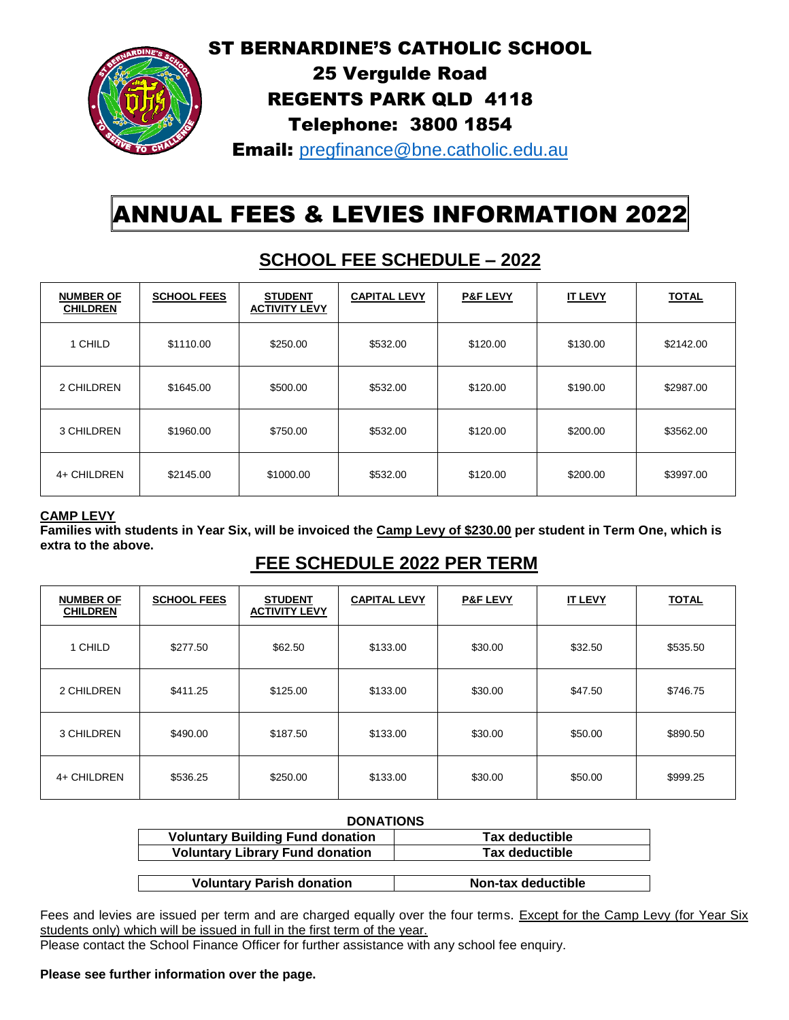## ST BERNARDINE'S CATHOLIC SCHOOL



## 25 Vergulde Road REGENTS PARK QLD 4118 Telephone: 3800 1854

Email: [pregfinance@bne.catholic.edu.au](mailto:pregfinance@bne.catholic.edu.au)

# ANNUAL FEES & LEVIES INFORMATION 2022

| <b>NUMBER OF</b><br><b>CHILDREN</b> | <b>SCHOOL FEES</b> | <b>STUDENT</b><br><b>ACTIVITY LEVY</b> | <b>CAPITAL LEVY</b> | <b>P&amp;F LEVY</b> | <b>IT LEVY</b> | <u>TOTAL</u> |
|-------------------------------------|--------------------|----------------------------------------|---------------------|---------------------|----------------|--------------|
| 1 CHILD                             | \$1110.00          | \$250.00                               | \$532.00            | \$120.00            | \$130.00       | \$2142.00    |
| 2 CHILDREN                          | \$1645.00          | \$500.00                               | \$532.00            | \$120.00            | \$190.00       | \$2987.00    |
| 3 CHILDREN                          | \$1960.00          | \$750.00                               | \$532.00            | \$120.00            | \$200.00       | \$3562.00    |
| 4+ CHILDREN                         | \$2145.00          | \$1000.00                              | \$532.00            | \$120.00            | \$200.00       | \$3997.00    |

# **SCHOOL FEE SCHEDULE – 2022**

#### **CAMP LEVY**

**Families with students in Year Six, will be invoiced the Camp Levy of \$230.00 per student in Term One, which is extra to the above.**

### **FEE SCHEDULE 2022 PER TERM**

| <b>NUMBER OF</b><br><b>CHILDREN</b> | <b>SCHOOL FEES</b> | <b>STUDENT</b><br><b>ACTIVITY LEVY</b> | <b>CAPITAL LEVY</b> | <b>P&amp;F LEVY</b> | <b>IT LEVY</b> | <b>TOTAL</b> |
|-------------------------------------|--------------------|----------------------------------------|---------------------|---------------------|----------------|--------------|
| 1 CHILD                             | \$277.50           | \$62.50                                | \$133.00            | \$30.00             | \$32.50        | \$535.50     |
| 2 CHILDREN                          | \$411.25           | \$125.00                               | \$133.00            | \$30.00             | \$47.50        | \$746.75     |
| 3 CHILDREN                          | \$490.00           | \$187.50                               | \$133.00            | \$30.00             | \$50.00        | \$890.50     |
| 4+ CHILDREN                         | \$536.25           | \$250.00                               | \$133.00            | \$30.00             | \$50.00        | \$999.25     |

| <b>DONATIONS</b>                        |                       |  |  |  |  |
|-----------------------------------------|-----------------------|--|--|--|--|
| <b>Voluntary Building Fund donation</b> | <b>Tax deductible</b> |  |  |  |  |
| <b>Voluntary Library Fund donation</b>  | <b>Tax deductible</b> |  |  |  |  |
|                                         |                       |  |  |  |  |
| <b>Voluntary Parish donation</b>        | Non-tax deductible    |  |  |  |  |

Fees and levies are issued per term and are charged equally over the four terms. Except for the Camp Levy (for Year Six students only) which will be issued in full in the first term of the year.

Please contact the School Finance Officer for further assistance with any school fee enquiry.

#### **Please see further information over the page.**